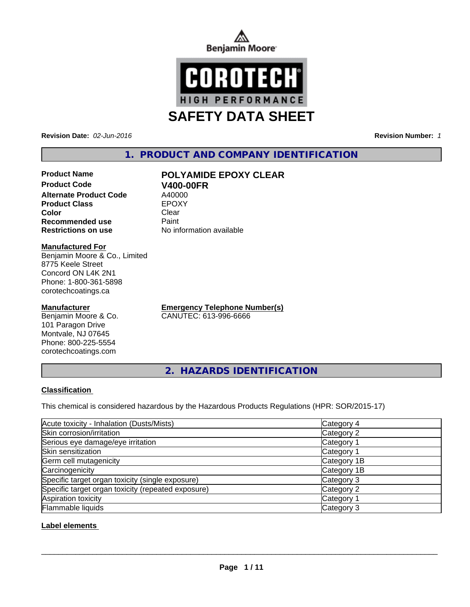



**Revision Date:** *02-Jun-2016* **Revision Number:** *1*

# **1. PRODUCT AND COMPANY IDENTIFICATION**

### **Product Name POLYAMIDE EPOXY CLEAR Product Code V400-00FR**<br> **Alternate Product Code** A40000 **Alternate Product Code** A40000<br> **Product Class** EPOXY **Product Class Color** Clear Clear **Recommended use Paint Restrictions on use** No information available

**Manufactured For**

Benjamin Moore & Co., Limited 8775 Keele Street Concord ON L4K 2N1 Phone: 1-800-361-5898 corotechcoatings.ca

## **Manufacturer**

Benjamin Moore & Co. 101 Paragon Drive Montvale, NJ 07645 Phone: 800-225-5554 corotechcoatings.com

**Emergency Telephone Number(s)** CANUTEC: 613-996-6666

**2. HAZARDS IDENTIFICATION**

# **Classification**

This chemical is considered hazardous by the Hazardous Products Regulations (HPR: SOR/2015-17)

| Acute toxicity - Inhalation (Dusts/Mists)          | Category 4  |
|----------------------------------------------------|-------------|
| Skin corrosion/irritation                          | Category 2  |
| Serious eye damage/eye irritation                  | Category 1  |
| Skin sensitization                                 | Category 1  |
| Germ cell mutagenicity                             | Category 1B |
| Carcinogenicity                                    | Category 1B |
| Specific target organ toxicity (single exposure)   | Category 3  |
| Specific target organ toxicity (repeated exposure) | Category 2  |
| Aspiration toxicity                                | Category 1  |
| Flammable liquids                                  | Category 3  |

**Label elements** 

 $\overline{\phantom{a}}$  ,  $\overline{\phantom{a}}$  ,  $\overline{\phantom{a}}$  ,  $\overline{\phantom{a}}$  ,  $\overline{\phantom{a}}$  ,  $\overline{\phantom{a}}$  ,  $\overline{\phantom{a}}$  ,  $\overline{\phantom{a}}$  ,  $\overline{\phantom{a}}$  ,  $\overline{\phantom{a}}$  ,  $\overline{\phantom{a}}$  ,  $\overline{\phantom{a}}$  ,  $\overline{\phantom{a}}$  ,  $\overline{\phantom{a}}$  ,  $\overline{\phantom{a}}$  ,  $\overline{\phantom{a}}$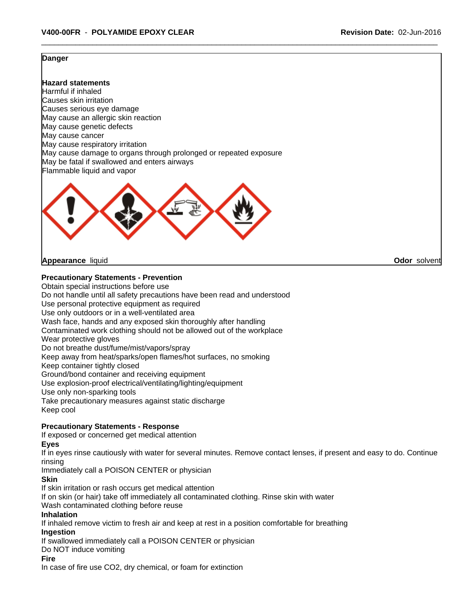#### **Danger**

**Hazard statements** Harmful if inhaled Causes skin irritation Causes serious eye damage May cause an allergic skin reaction May cause genetic defects May cause cancer May cause respiratory irritation May cause damage to organs through prolonged or repeated exposure May be fatal if swallowed and enters airways Flammable liquid and vapor



**Appearance** liquid **Odor** solvent

## **Precautionary Statements - Prevention**

Obtain special instructions before use

Do not handle until all safety precautions have been read and understood Use personal protective equipment as required

Use only outdoors or in a well-ventilated area

Wash face, hands and any exposed skin thoroughly after handling

Contaminated work clothing should not be allowed out of the workplace

Wear protective gloves

Do not breathe dust/fume/mist/vapors/spray

Keep away from heat/sparks/open flames/hot surfaces, no smoking

Keep container tightly closed

Ground/bond container and receiving equipment

Use explosion-proof electrical/ventilating/lighting/equipment

Use only non-sparking tools

Take precautionary measures against static discharge

Keep cool

# **Precautionary Statements - Response**

If exposed or concerned get medical attention

**Eyes**

If in eyes rinse cautiously with water for several minutes. Remove contact lenses, if present and easy to do. Continue rinsing

Immediately call a POISON CENTER or physician

**Skin**

If skin irritation or rash occurs get medical attention

If on skin (or hair) take off immediately all contaminated clothing. Rinse skin with water

Wash contaminated clothing before reuse

#### **Inhalation**

If inhaled remove victim to fresh air and keep at rest in a position comfortable for breathing **Ingestion**

If swallowed immediately call a POISON CENTER or physician

Do NOT induce vomiting

#### **Fire**

In case of fire use CO2, dry chemical, or foam for extinction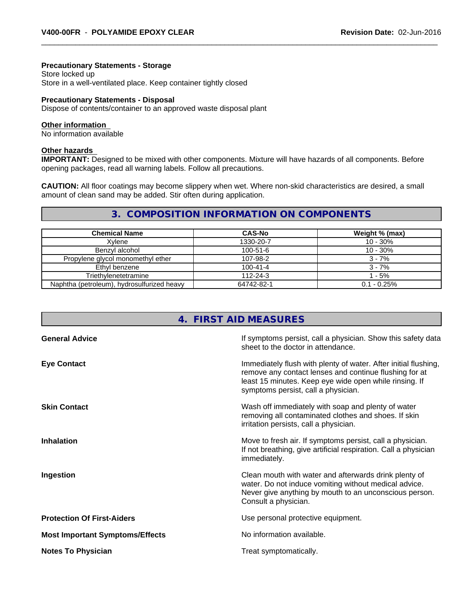# **Precautionary Statements - Storage**

Store locked up Store in a well-ventilated place. Keep container tightly closed

#### **Precautionary Statements - Disposal**

Dispose of contents/container to an approved waste disposal plant

#### **Other information**

No information available

#### **Other hazards**

**IMPORTANT:** Designed to be mixed with other components. Mixture will have hazards of all components. Before opening packages, read all warning labels. Follow all precautions.

**CAUTION:** All floor coatings may become slippery when wet. Where non-skid characteristics are desired, a small amount of clean sand may be added. Stir often during application.

# **3. COMPOSITION INFORMATION ON COMPONENTS**

| <b>Chemical Name</b>                       | <b>CAS-No</b>  | Weight % (max) |
|--------------------------------------------|----------------|----------------|
| Xvlene                                     | 1330-20-7      | $10 - 30%$     |
| Benzvl alcohol                             | $100 - 51 - 6$ | $10 - 30%$     |
| Propylene glycol monomethyl ether          | 107-98-2       | $3 - 7%$       |
| Ethyl benzene                              | $100 - 41 - 4$ | $3 - 7%$       |
| Triethylenetetramine                       | $112 - 24 - 3$ | 1 - 5%         |
| Naphtha (petroleum), hydrosulfurized heavy | 64742-82-1     | $0.1 - 0.25%$  |

| 4. FIRST AID MEASURES                  |                                                                                                                                                                                                                            |  |
|----------------------------------------|----------------------------------------------------------------------------------------------------------------------------------------------------------------------------------------------------------------------------|--|
| <b>General Advice</b>                  | If symptoms persist, call a physician. Show this safety data<br>sheet to the doctor in attendance.                                                                                                                         |  |
| <b>Eye Contact</b>                     | Immediately flush with plenty of water. After initial flushing,<br>remove any contact lenses and continue flushing for at<br>least 15 minutes. Keep eye wide open while rinsing. If<br>symptoms persist, call a physician. |  |
| <b>Skin Contact</b>                    | Wash off immediately with soap and plenty of water<br>removing all contaminated clothes and shoes. If skin<br>irritation persists, call a physician.                                                                       |  |
| <b>Inhalation</b>                      | Move to fresh air. If symptoms persist, call a physician.<br>If not breathing, give artificial respiration. Call a physician<br>immediately.                                                                               |  |
| Ingestion                              | Clean mouth with water and afterwards drink plenty of<br>water. Do not induce vomiting without medical advice.<br>Never give anything by mouth to an unconscious person.<br>Consult a physician.                           |  |
| <b>Protection Of First-Aiders</b>      | Use personal protective equipment.                                                                                                                                                                                         |  |
| <b>Most Important Symptoms/Effects</b> | No information available.                                                                                                                                                                                                  |  |
| <b>Notes To Physician</b>              | Treat symptomatically.                                                                                                                                                                                                     |  |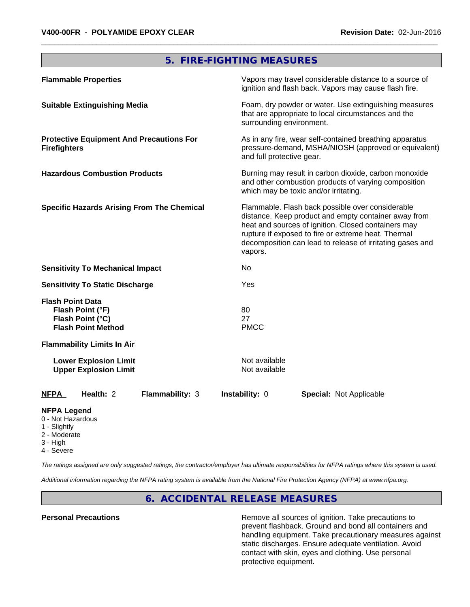# **5. FIRE-FIGHTING MEASURES**

| <b>Flammable Properties</b>                                                                  | Vapors may travel considerable distance to a source of<br>ignition and flash back. Vapors may cause flash fire.                                                                                                                                                                                |
|----------------------------------------------------------------------------------------------|------------------------------------------------------------------------------------------------------------------------------------------------------------------------------------------------------------------------------------------------------------------------------------------------|
| <b>Suitable Extinguishing Media</b>                                                          | Foam, dry powder or water. Use extinguishing measures<br>that are appropriate to local circumstances and the<br>surrounding environment.                                                                                                                                                       |
| <b>Protective Equipment And Precautions For</b><br><b>Firefighters</b>                       | As in any fire, wear self-contained breathing apparatus<br>pressure-demand, MSHA/NIOSH (approved or equivalent)<br>and full protective gear.                                                                                                                                                   |
| <b>Hazardous Combustion Products</b>                                                         | Burning may result in carbon dioxide, carbon monoxide<br>and other combustion products of varying composition<br>which may be toxic and/or irritating.                                                                                                                                         |
| <b>Specific Hazards Arising From The Chemical</b>                                            | Flammable. Flash back possible over considerable<br>distance. Keep product and empty container away from<br>heat and sources of ignition. Closed containers may<br>rupture if exposed to fire or extreme heat. Thermal<br>decomposition can lead to release of irritating gases and<br>vapors. |
| <b>Sensitivity To Mechanical Impact</b>                                                      | No                                                                                                                                                                                                                                                                                             |
| <b>Sensitivity To Static Discharge</b>                                                       | Yes                                                                                                                                                                                                                                                                                            |
| <b>Flash Point Data</b><br>Flash Point (°F)<br>Flash Point (°C)<br><b>Flash Point Method</b> | 80<br>27<br><b>PMCC</b>                                                                                                                                                                                                                                                                        |
| <b>Flammability Limits In Air</b>                                                            |                                                                                                                                                                                                                                                                                                |
| <b>Lower Explosion Limit</b><br><b>Upper Explosion Limit</b>                                 | Not available<br>Not available                                                                                                                                                                                                                                                                 |
| <b>NFPA</b><br>Health: 2<br>Flammability: 3                                                  | Instability: 0<br><b>Special: Not Applicable</b>                                                                                                                                                                                                                                               |

#### **NFPA Legend**

- 0 Not Hazardous
- 1 Slightly
- 2 Moderate
- 3 High
- 4 Severe

*The ratings assigned are only suggested ratings, the contractor/employer has ultimate responsibilities for NFPA ratings where this system is used.*

*Additional information regarding the NFPA rating system is available from the National Fire Protection Agency (NFPA) at www.nfpa.org.*

# **6. ACCIDENTAL RELEASE MEASURES**

**Personal Precautions Remove all sources of ignition. Take precautions to** Remove all sources of ignition. Take precautions to prevent flashback. Ground and bond all containers and handling equipment. Take precautionary measures against static discharges. Ensure adequate ventilation. Avoid contact with skin, eyes and clothing. Use personal protective equipment.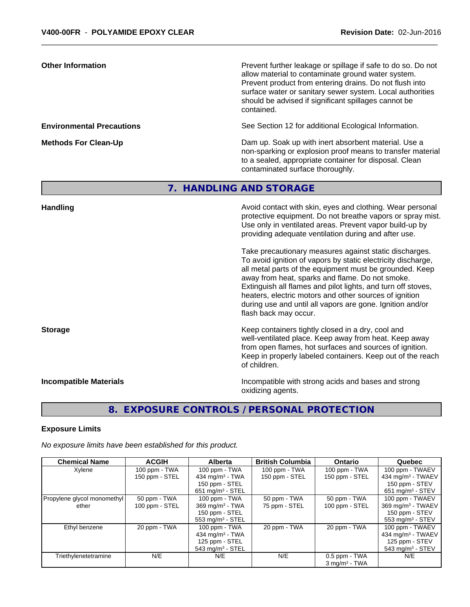| <b>Other Information</b>         |             | Prevent further leakage or spillage if safe to do so. Do not<br>allow material to contaminate ground water system.<br>Prevent product from entering drains. Do not flush into<br>surface water or sanitary sewer system. Local authorities<br>should be advised if significant spillages cannot be<br>contained.                                                                                                                                                                                                                                                                                                                                                                                   |  |  |
|----------------------------------|-------------|----------------------------------------------------------------------------------------------------------------------------------------------------------------------------------------------------------------------------------------------------------------------------------------------------------------------------------------------------------------------------------------------------------------------------------------------------------------------------------------------------------------------------------------------------------------------------------------------------------------------------------------------------------------------------------------------------|--|--|
| <b>Environmental Precautions</b> |             | See Section 12 for additional Ecological Information.                                                                                                                                                                                                                                                                                                                                                                                                                                                                                                                                                                                                                                              |  |  |
| <b>Methods For Clean-Up</b>      |             | Dam up. Soak up with inert absorbent material. Use a<br>non-sparking or explosion proof means to transfer material<br>to a sealed, appropriate container for disposal. Clean<br>contaminated surface thoroughly.                                                                                                                                                                                                                                                                                                                                                                                                                                                                                   |  |  |
|                                  | $7_{\odot}$ | <b>HANDLING AND STORAGE</b>                                                                                                                                                                                                                                                                                                                                                                                                                                                                                                                                                                                                                                                                        |  |  |
| <b>Handling</b>                  |             | Avoid contact with skin, eyes and clothing. Wear personal<br>protective equipment. Do not breathe vapors or spray mist.<br>Use only in ventilated areas. Prevent vapor build-up by<br>providing adequate ventilation during and after use.<br>Take precautionary measures against static discharges.<br>To avoid ignition of vapors by static electricity discharge,<br>all metal parts of the equipment must be grounded. Keep<br>away from heat, sparks and flame. Do not smoke.<br>Extinguish all flames and pilot lights, and turn off stoves,<br>heaters, electric motors and other sources of ignition<br>during use and until all vapors are gone. Ignition and/or<br>flash back may occur. |  |  |
| <b>Storage</b>                   |             | Keep containers tightly closed in a dry, cool and<br>well-ventilated place. Keep away from heat. Keep away<br>from open flames, hot surfaces and sources of ignition.<br>Keep in properly labeled containers. Keep out of the reach<br>of children.                                                                                                                                                                                                                                                                                                                                                                                                                                                |  |  |
| <b>Incompatible Materials</b>    |             | Incompatible with strong acids and bases and strong<br>oxidizing agents.                                                                                                                                                                                                                                                                                                                                                                                                                                                                                                                                                                                                                           |  |  |
|                                  |             |                                                                                                                                                                                                                                                                                                                                                                                                                                                                                                                                                                                                                                                                                                    |  |  |
|                                  |             |                                                                                                                                                                                                                                                                                                                                                                                                                                                                                                                                                                                                                                                                                                    |  |  |

**8. EXPOSURE CONTROLS / PERSONAL PROTECTION**

# **Exposure Limits**

*No exposure limits have been established for this product.*

| <b>Chemical Name</b>        | <b>ACGIH</b>   | <b>Alberta</b>                 | <b>British Columbia</b> | <b>Ontario</b>     | Quebec                          |
|-----------------------------|----------------|--------------------------------|-------------------------|--------------------|---------------------------------|
| Xylene                      | 100 ppm - TWA  | $100$ ppm - TWA                | 100 ppm - TWA           | 100 ppm - TWA      | 100 ppm - TWAEV                 |
|                             | 150 ppm - STEL | 434 mg/m <sup>3</sup> - TWA    | 150 ppm - STEL          | 150 ppm - STEL     | 434 mg/m <sup>3</sup> - TWAEV   |
|                             |                | 150 ppm - STEL                 |                         |                    | 150 ppm - STEV                  |
|                             |                | $651$ mg/m <sup>3</sup> - STEL |                         |                    | $651 \text{ mg/m}^3$ - STEV     |
| Propylene glycol monomethyl | 50 ppm - TWA   | 100 ppm - TWA                  | 50 ppm - TWA            | 50 ppm - TWA       | 100 ppm - TWAEV                 |
| ether                       | 100 ppm - STEL | $369$ mg/m <sup>3</sup> - TWA  | 75 ppm - STEL           | 100 ppm - STEL     | $369$ mg/m <sup>3</sup> - TWAEV |
|                             |                | 150 ppm - STEL                 |                         |                    | 150 ppm - STEV                  |
|                             |                | 553 mg/m $3 -$ STEL            |                         |                    | 553 mg/m <sup>3</sup> - STEV    |
| Ethyl benzene               | 20 ppm - TWA   | $100$ ppm - TWA                | 20 ppm - TWA            | 20 ppm - TWA       | 100 ppm - TWAEV                 |
|                             |                | 434 mg/m <sup>3</sup> - TWA    |                         |                    | 434 mg/m <sup>3</sup> - TWAEV   |
|                             |                | 125 ppm - STEL                 |                         |                    | 125 ppm - STEV                  |
|                             |                | $543$ mg/m <sup>3</sup> - STEL |                         |                    | 543 mg/m $3 -$ STEV             |
| Triethylenetetramine        | N/E            | N/E                            | N/E                     | 0.5 ppm - TWA      | N/E                             |
|                             |                |                                |                         | $3$ ma/m $3$ - TWA |                                 |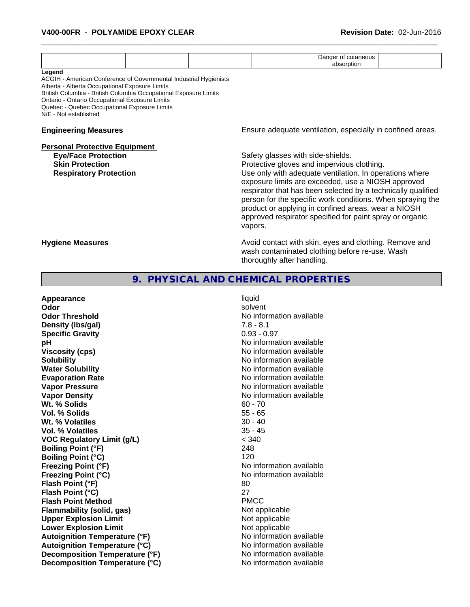|                                                                                                                                                                                                                                                                                                                              | Danger of cutaneous                                                                                                                                                                                                                                                                                                                                                                                                                                          |  |  |
|------------------------------------------------------------------------------------------------------------------------------------------------------------------------------------------------------------------------------------------------------------------------------------------------------------------------------|--------------------------------------------------------------------------------------------------------------------------------------------------------------------------------------------------------------------------------------------------------------------------------------------------------------------------------------------------------------------------------------------------------------------------------------------------------------|--|--|
| Legend<br>ACGIH - American Conference of Governmental Industrial Hygienists<br>Alberta - Alberta Occupational Exposure Limits<br>British Columbia - British Columbia Occupational Exposure Limits<br>Ontario - Ontario Occupational Exposure Limits<br>Quebec - Quebec Occupational Exposure Limits<br>N/E - Not established | absorption                                                                                                                                                                                                                                                                                                                                                                                                                                                   |  |  |
| <b>Engineering Measures</b>                                                                                                                                                                                                                                                                                                  | Ensure adequate ventilation, especially in confined areas.                                                                                                                                                                                                                                                                                                                                                                                                   |  |  |
| <b>Personal Protective Equipment</b><br><b>Eye/Face Protection</b><br><b>Skin Protection</b><br><b>Respiratory Protection</b>                                                                                                                                                                                                | Safety glasses with side-shields.<br>Protective gloves and impervious clothing.<br>Use only with adequate ventilation. In operations where<br>exposure limits are exceeded, use a NIOSH approved<br>respirator that has been selected by a technically qualified<br>person for the specific work conditions. When spraying the<br>product or applying in confined areas, wear a NIOSH<br>approved respirator specified for paint spray or organic<br>vapors. |  |  |
| <b>Hygiene Measures</b>                                                                                                                                                                                                                                                                                                      | Avoid contact with skin, eyes and clothing. Remove and<br>wash contaminated clothing before re-use. Wash<br>thoroughly after handling.                                                                                                                                                                                                                                                                                                                       |  |  |
| 9.                                                                                                                                                                                                                                                                                                                           | PHYSICAL AND CHEMICAL PROPERTIES                                                                                                                                                                                                                                                                                                                                                                                                                             |  |  |
| Appearance<br>Odor<br><b>Odor Threshold</b>                                                                                                                                                                                                                                                                                  | liquid<br>solvent<br>No information available                                                                                                                                                                                                                                                                                                                                                                                                                |  |  |

**Density (lbs/gal)** 7.8 - 8.1 **Specific Gravity** 0.93 - 0.97 **pH** No information available **Viscosity (cps)** No information available **Solubility Note 2008 Note 2008 Note 2008 Note 2008 Note 2008 Note 2008 Note 2008 Note 2008 Note 2008 Note 2008 Note 2008 Note 2008 Note 2008 Note 2008 Note 2008 Note 2008 Note 2008 Note Water Solubility Water Solubility Water Solubility No information available Evaporation Rate No information available No information available Vapor Pressure** No information available in the North American Monte Available in the North Available in the North Available in the North Available in the North Available in the North Available in the North Available in t **Vapor Density Vapor Density No information available Wt. % Solids** 60 - 70 **Vol. % Solids** 55 - 65 **Wt. % Volatiles Vol. % Volatiles** 35 - 45 **VOC Regulatory Limit (g/L)** < 340 **Boiling Point (°F)** 248 **Boiling Point (°C)** 120 **Freezing Point (°F)** No information available **Freezing Point (°C)** No information available **Flash Point (°F)** 80 **Flash Point (°C)** 27 **Flash Point Method** PMCC **Flammability (solid, gas)**<br> **Compare Upper Explosion Limit** Not applicable Not applicable **Upper Explosion Limit**<br> **Lower Explosion Limit**<br> **Lower Explosion Limit Lower Explosion Limit Autoignition Temperature (°F)**<br> **Autoignition Temperature (°C)** No information available **Autoignition Temperature (°C) Decomposition Temperature (°F)** No information available **Decomposition Temperature (°C)** No information available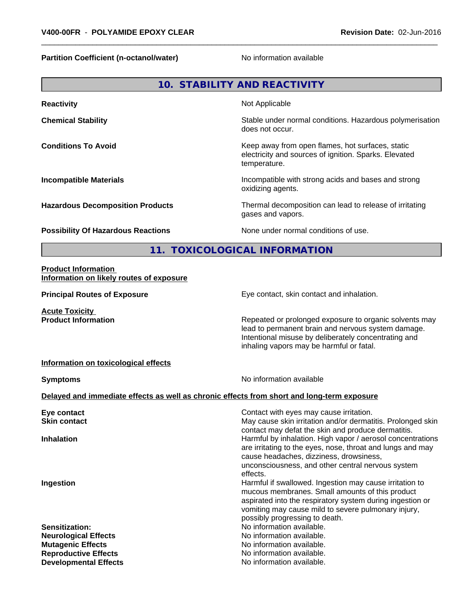**Partition Coefficient (n-octanol/water)** No information available

|                                           | 10. STABILITY AND REACTIVITY                                                                                              |
|-------------------------------------------|---------------------------------------------------------------------------------------------------------------------------|
| <b>Reactivity</b>                         | Not Applicable                                                                                                            |
| <b>Chemical Stability</b>                 | Stable under normal conditions. Hazardous polymerisation<br>does not occur.                                               |
| <b>Conditions To Avoid</b>                | Keep away from open flames, hot surfaces, static<br>electricity and sources of ignition. Sparks. Elevated<br>temperature. |
| <b>Incompatible Materials</b>             | Incompatible with strong acids and bases and strong<br>oxidizing agents.                                                  |
| <b>Hazardous Decomposition Products</b>   | Thermal decomposition can lead to release of irritating<br>gases and vapors.                                              |
| <b>Possibility Of Hazardous Reactions</b> | None under normal conditions of use.                                                                                      |
| 11.                                       | <b>TOXICOLOGICAL INFORMATION</b>                                                                                          |
| <b>Droduct Information</b>                |                                                                                                                           |

#### **Product Information Information on likely routes of exposure**

**Acute Toxicity** 

**Principal Routes of Exposure Exposure** Eye contact, skin contact and inhalation.

**Product Information Repeated or prolonged exposure to organic solvents may** Repeated or prolonged exposure to organic solvents may lead to permanent brain and nervous system damage. Intentional misuse by deliberately concentrating and inhaling vapors may be harmful or fatal.

### **Information on toxicological effects**

**Symptoms** No information available

# **Delayed and immediate effects as well as chronic effects from short and long-term exposure**

| Eye contact                  | Contact with eyes may cause irritation.                                                                                                                                                                                                                          |
|------------------------------|------------------------------------------------------------------------------------------------------------------------------------------------------------------------------------------------------------------------------------------------------------------|
| <b>Skin contact</b>          | May cause skin irritation and/or dermatitis. Prolonged skin<br>contact may defat the skin and produce dermatitis.                                                                                                                                                |
| <b>Inhalation</b>            | Harmful by inhalation. High vapor / aerosol concentrations<br>are irritating to the eyes, nose, throat and lungs and may<br>cause headaches, dizziness, drowsiness,                                                                                              |
|                              | unconsciousness, and other central nervous system<br>effects.                                                                                                                                                                                                    |
| Ingestion                    | Harmful if swallowed. Ingestion may cause irritation to<br>mucous membranes. Small amounts of this product<br>aspirated into the respiratory system during ingestion or<br>vomiting may cause mild to severe pulmonary injury,<br>possibly progressing to death. |
| <b>Sensitization:</b>        | No information available.                                                                                                                                                                                                                                        |
| <b>Neurological Effects</b>  | No information available.                                                                                                                                                                                                                                        |
| <b>Mutagenic Effects</b>     | No information available.                                                                                                                                                                                                                                        |
| <b>Reproductive Effects</b>  | No information available.                                                                                                                                                                                                                                        |
| <b>Developmental Effects</b> | No information available.                                                                                                                                                                                                                                        |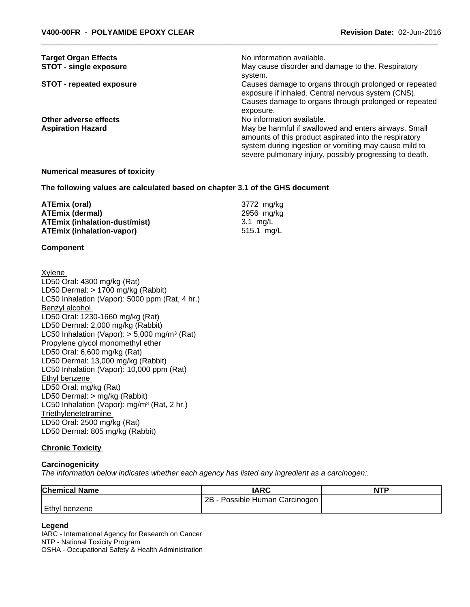| <b>Target Organ Effects</b>     | No information available.                                                                                                                                                                                                           |
|---------------------------------|-------------------------------------------------------------------------------------------------------------------------------------------------------------------------------------------------------------------------------------|
| <b>STOT - single exposure</b>   | May cause disorder and damage to the. Respiratory<br>system.                                                                                                                                                                        |
| <b>STOT - repeated exposure</b> | Causes damage to organs through prolonged or repeated<br>exposure if inhaled. Central nervous system (CNS).                                                                                                                         |
|                                 | Causes damage to organs through prolonged or repeated<br>exposure.                                                                                                                                                                  |
| Other adverse effects           | No information available.                                                                                                                                                                                                           |
| <b>Aspiration Hazard</b>        | May be harmful if swallowed and enters airways. Small<br>amounts of this product aspirated into the respiratory<br>system during ingestion or vomiting may cause mild to<br>severe pulmonary injury, possibly progressing to death. |
|                                 |                                                                                                                                                                                                                                     |

#### **Numerical measures of toxicity**

**The following values are calculated based on chapter 3.1 of the GHS document**

| ATEmix (oral)                        | 3772 mg/kg |
|--------------------------------------|------------|
| <b>ATEmix (dermal)</b>               | 2956 ma/ka |
| <b>ATEmix (inhalation-dust/mist)</b> | 3.1 ma/L   |
| <b>ATEmix (inhalation-vapor)</b>     | 515.1 ma/L |

#### **Component**

Xylene LD50 Oral: 4300 mg/kg (Rat) LD50 Dermal: > 1700 mg/kg (Rabbit) LC50 Inhalation (Vapor): 5000 ppm (Rat, 4 hr.) Benzyl alcohol LD50 Oral: 1230-1660 mg/kg (Rat) LD50 Dermal: 2,000 mg/kg (Rabbit) LC50 Inhalation (Vapor): > 5,000 mg/m<sup>3</sup> (Rat) Propylene glycol monomethyl ether LD50 Oral: 6,600 mg/kg (Rat) LD50 Dermal: 13,000 mg/kg (Rabbit) LC50 Inhalation (Vapor): 10,000 ppm (Rat) Ethyl benzene LD50 Oral: mg/kg (Rat) LD50 Dermal: > mg/kg (Rabbit) LC50 Inhalation (Vapor): mg/m<sup>3</sup> (Rat, 2 hr.) **Triethylenetetramine** LD50 Oral: 2500 mg/kg (Rat) LD50 Dermal: 805 mg/kg (Rabbit)

#### **Chronic Toxicity**

#### **Carcinogenicity**

*The information below indicateswhether each agency has listed any ingredient as a carcinogen:.*

| <b>Chemical Name</b> | <b>IARC</b>                               | <b>NTF</b> |
|----------------------|-------------------------------------------|------------|
|                      | 2B<br>ı Carcinogen.<br>- Possible Human C |            |
| Ethyl<br>l benzene   |                                           |            |

#### **Legend**

IARC - International Agency for Research on Cancer NTP - National Toxicity Program OSHA - Occupational Safety & Health Administration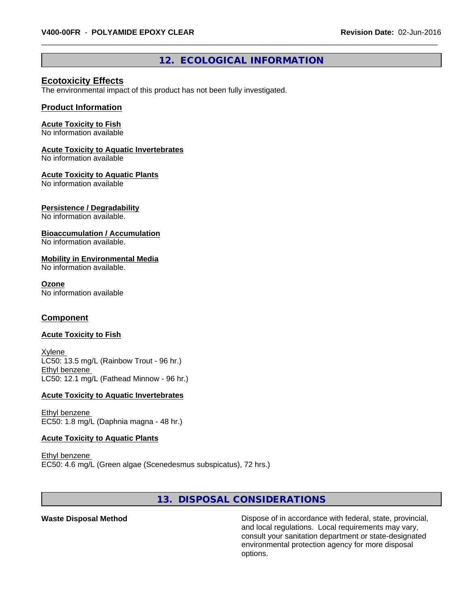# **12. ECOLOGICAL INFORMATION**

# **Ecotoxicity Effects**

The environmental impact of this product has not been fully investigated.

#### **Product Information**

# **Acute Toxicity to Fish**

No information available

# **Acute Toxicity to Aquatic Invertebrates**

No information available

# **Acute Toxicity to Aquatic Plants**

No information available

### **Persistence / Degradability**

No information available.

### **Bioaccumulation / Accumulation**

No information available.

### **Mobility in Environmental Media**

No information available.

#### **Ozone**

No information available

# **Component**

#### **Acute Toxicity to Fish**

Xylene LC50: 13.5 mg/L (Rainbow Trout - 96 hr.) Ethyl benzene LC50: 12.1 mg/L (Fathead Minnow - 96 hr.)

#### **Acute Toxicity to Aquatic Invertebrates**

Ethyl benzene EC50: 1.8 mg/L (Daphnia magna - 48 hr.)

#### **Acute Toxicity to Aquatic Plants**

Ethyl benzene EC50: 4.6 mg/L (Green algae (Scenedesmus subspicatus), 72 hrs.)

# **13. DISPOSAL CONSIDERATIONS**

Waste Disposal Method **Dispose of in accordance with federal, state, provincial,** and local regulations. Local requirements may vary, consult your sanitation department or state-designated environmental protection agency for more disposal options.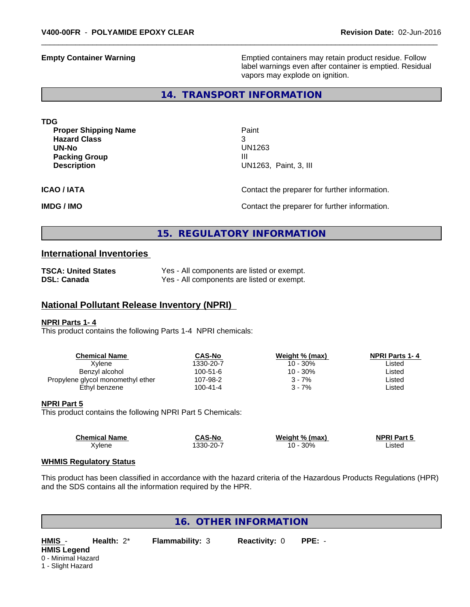**Empty Container Warning <b>Emptied** Containers may retain product residue. Follow label warnings even after container is emptied. Residual vapors may explode on ignition.

# **14. TRANSPORT INFORMATION**

| <b>TDG</b>                  |                                               |
|-----------------------------|-----------------------------------------------|
| <b>Proper Shipping Name</b> | Paint                                         |
| <b>Hazard Class</b>         | 3                                             |
| UN-No                       | UN1263                                        |
| <b>Packing Group</b>        | Ш                                             |
| <b>Description</b>          | UN1263, Paint, 3, III                         |
| <b>ICAO / IATA</b>          | Contact the preparer for further information. |

**IMDG / IMO IMO Contact the preparer for further information.** 

# **15. REGULATORY INFORMATION**

# **International Inventories**

| <b>TSCA: United States</b> | Yes - All components are listed or exempt. |
|----------------------------|--------------------------------------------|
| <b>DSL: Canada</b>         | Yes - All components are listed or exempt. |

### **National Pollutant Release Inventory (NPRI)**

#### **NPRI Parts 1- 4**

This product contains the following Parts 1-4 NPRI chemicals:

| Chemical Name                     | CAS-No         | Weight % (max) | <b>NPRI Parts 1-4</b> |
|-----------------------------------|----------------|----------------|-----------------------|
| Xvlene                            | 1330-20-7      | 10 - 30%       | Listed                |
| Benzyl alcohol                    | $100 - 51 - 6$ | 10 - 30%       | ∟isted                |
| Propylene glycol monomethyl ether | 107-98-2       | $3 - 7%$       | ∟isted                |
| Ethyl benzene                     | $100 - 41 - 4$ | 3 - 7%         | ∟isted                |
|                                   |                |                |                       |

#### **NPRI Part 5**

This product contains the following NPRI Part 5 Chemicals:

| <b>Chemical Name</b> | <b>CAS-No</b> | Weight % (max) | <b>NPRI Part 5</b> |  |
|----------------------|---------------|----------------|--------------------|--|
| Xylene               | 330-20-7      | 30%<br>10      | .isted             |  |

#### **WHMIS Regulatory Status**

This product has been classified in accordance with the hazard criteria of the Hazardous Products Regulations (HPR) and the SDS contains all the information required by the HPR.

**16. OTHER INFORMATION**

**HMIS Legend** 0 - Minimal Hazard 1 - Slight Hazard

**HMIS** - **Health:** 2\* **Flammability:** 3 **Reactivity:** 0 **PPE:** -